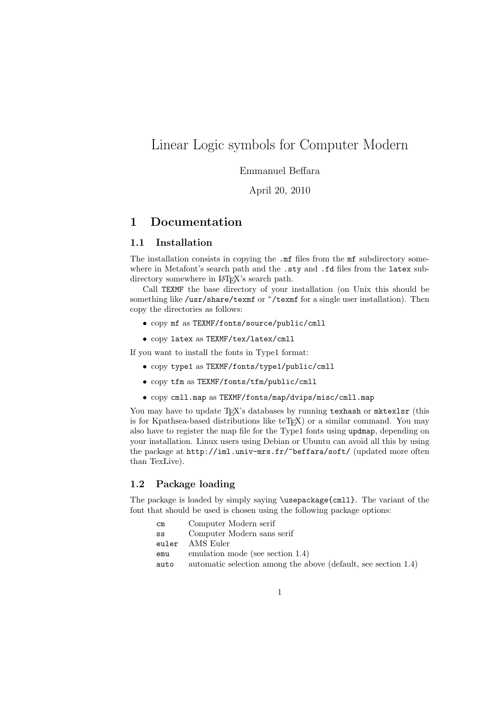# Linear Logic symbols for Computer Modern

# Emmanuel Beffara

April 20, 2010

# 1 Documentation

## 1.1 Installation

The installation consists in copying the  $\mathbf{m}$  files from the  $\mathbf{m}$  subdirectory somewhere in Metafont's search path and the .sty and .fd files from the latex subdirectory somewhere in L<sup>AT</sup>FX's search path.

Call TEXMF the base directory of your installation (on Unix this should be something like /usr/share/texmf or  $\check{\ }$ /texmf for a single user installation). Then copy the directories as follows:

- copy mf as TEXMF/fonts/source/public/cmll
- copy latex as TEXMF/tex/latex/cmll

If you want to install the fonts in Type1 format:

- copy type1 as TEXMF/fonts/type1/public/cmll
- copy tfm as TEXMF/fonts/tfm/public/cmll
- copy cmll.map as TEXMF/fonts/map/dvips/misc/cmll.map

You may have to update T<sub>EX</sub>'s databases by running texhash or mktexlsr (this is for Kpathsea-based distributions like teT<sub>E</sub>X) or a similar command. You may also have to register the map file for the Type1 fonts using updmap, depending on your installation. Linux users using Debian or Ubuntu can avoid all this by using the package at http://iml.univ-mrs.fr/~beffara/soft/ (updated more often than TexLive).

## 1.2 Package loading

The package is loaded by simply saying \usepackage{cmll}. The variant of the font that should be used is chosen using the following package options:

| $\texttt{cm}$ | Computer Modern serif                                          |
|---------------|----------------------------------------------------------------|
| SS            | Computer Modern sans serif                                     |
| euler         | AMS Euler                                                      |
| emu           | emulation mode (see section 1.4)                               |
| auto          | automatic selection among the above (default, see section 1.4) |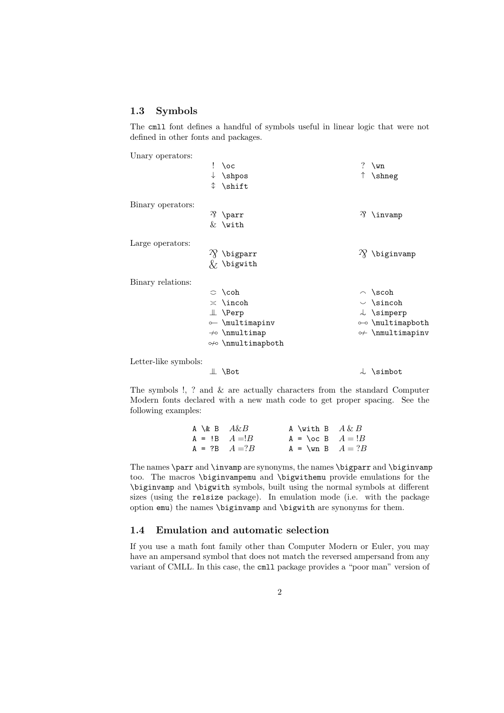## 1.3 Symbols

The cmll font defines a handful of symbols useful in linear logic that were not defined in other fonts and packages.

Unary operators:

|                      |   | $! \ \text{loc}$         | ? $\mathrm{Wn}$             |
|----------------------|---|--------------------------|-----------------------------|
|                      |   | $\downarrow$ \shpos      | ↑ \shneg                    |
|                      | ↨ | \shift                   |                             |
| Binary operators:    |   |                          |                             |
|                      |   | $\mathcal{P}$ \parr      | $\mathcal{P}$ \invamp       |
|                      |   | $&$ \with                |                             |
| Large operators:     |   |                          |                             |
|                      |   | $\gamma$ \bigparr        | $\gamma$ \biginvamp         |
|                      |   | $\chi$ \bigwith          |                             |
| Binary relations:    |   |                          |                             |
|                      |   | $\circ$ \coh             | $\land$ \scoh               |
|                      |   | $\asymp$ \incoh          | $\backsim$ \sincoh          |
|                      |   | $\perp$ \Perp            | $\downarrow$ \simperp       |
|                      |   | o \multimapinv           | o-o \multimapboth           |
|                      |   | $\rightarrow$ \nmultimap | $\rightarrow$ \nmultimapinv |
|                      |   | 0/0 \nmultimapboth       |                             |
| Letter-like symbols: |   |                          |                             |
|                      |   | $\perp$ \Bot             | $\perp$ \simbot             |

The symbols !, ? and & are actually characters from the standard Computer Modern fonts declared with a new math code to get proper spacing. See the following examples:

| A $\&$ B $A\&B$   | A \with B $A \& B$               |  |
|-------------------|----------------------------------|--|
| $A = IB \tA = B$  | $A = \text{loc } B \quad A = !B$ |  |
| $A = ?B$ $A = ?B$ | $A = \text{Nm } B \quad A = ?B$  |  |

The names \parr and \invamp are synonyms, the names \bigparr and \biginvamp too. The macros \biginvampemu and \bigwithemu provide emulations for the \biginvamp and \bigwith symbols, built using the normal symbols at different sizes (using the relsize package). In emulation mode (i.e. with the package option emu) the names \biginvamp and \bigwith are synonyms for them.

#### 1.4 Emulation and automatic selection

If you use a math font family other than Computer Modern or Euler, you may have an ampersand symbol that does not match the reversed ampersand from any variant of CMLL. In this case, the cmll package provides a "poor man" version of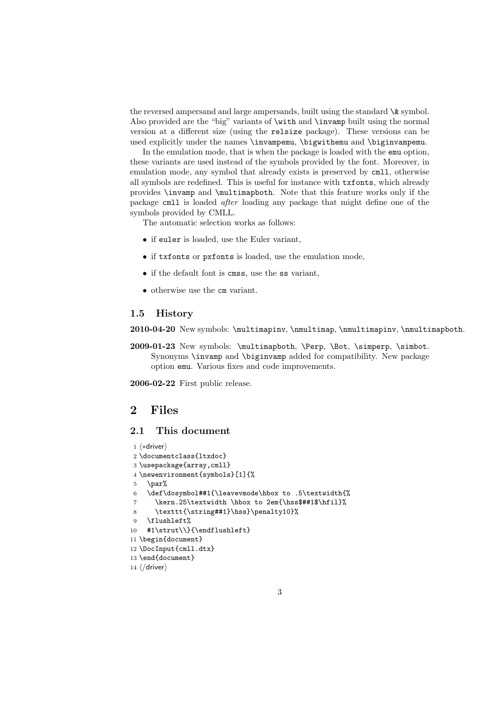the reversed ampersand and large ampersands, built using the standard  $\&$  symbol. Also provided are the "big" variants of \with and \invamp built using the normal version at a different size (using the relsize package). These versions can be used explicitly under the names \invampemu, \bigwithemu and \biginvampemu.

In the emulation mode, that is when the package is loaded with the emu option, these variants are used instead of the symbols provided by the font. Moreover, in emulation mode, any symbol that already exists is preserved by cmll, otherwise all symbols are redefined. This is useful for instance with txfonts, which already provides \invamp and \multimapboth. Note that this feature works only if the package cmll is loaded after loading any package that might define one of the symbols provided by CMLL.

The automatic selection works as follows:

- if euler is loaded, use the Euler variant,
- if txfonts or pxfonts is loaded, use the emulation mode,
- if the default font is cmss, use the ss variant,
- otherwise use the cm variant.

## 1.5 History

2010-04-20 New symbols: \multimapinv, \nmultimap, \nmultimapinv, \nmultimapboth.

2009-01-23 New symbols: \multimapboth, \Perp, \Bot, \simperp, \simbot. Synonyms \invamp and \biginvamp added for compatibility. New package option emu. Various fixes and code improvements.

2006-02-22 First public release.

# 2 Files

# 2.1 This document

```
1 \langle *driver \rangle2 \documentclass{ltxdoc}
3 \usepackage{array,cmll}
4 \newenvironment{symbols}[1]{%
5 \gamma6 \def\dosymbol##1{\leavevmode\hbox to .5\textwidth{%
7 \kern.25\textwidth \hbox to 2em{\hss$##1$\hfil}%
8 \texttt{\string##1}\hss}\penalty10}%
9 \flushleft%
10 #1\strut\\}{\endflushleft}
11 \begin{document}
12 \DocInput{cmll.dtx}
13 \end{document}
14 \langle driver\rangle
```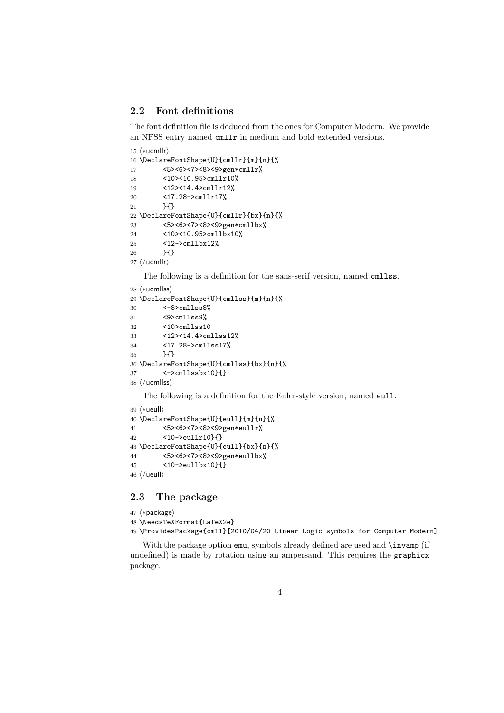## 2.2 Font definitions

The font definition file is deduced from the ones for Computer Modern. We provide an NFSS entry named cmllr in medium and bold extended versions.

```
15 \langle *ucmllr\rangle16 \DeclareFontShape{U}{cmllr}{m}{n}{%
17 <5><6><7><8><9>gen*cmllr%
18 <10><10.95>cmllr10%
19 <12><14.4>cmllr12%
20 <17.28->cmllr17%
21 }{}
22 \DeclareFontShape{U}{cmllr}{bx}{n}{%
23 <5><6><7><8><9>gen*cmllbx%
24 <10><10.95>cmllbx10%
25 <12->cmllbx12%
26 }{}
27 \langle/ucmllr\rangle
```
The following is a definition for the sans-serif version, named cmllss.

```
28 \langle *ucmllss\rangle
```

```
29 \DeclareFontShape{U}{cmllss}{m}{n}{%
30 <-8>cmllss8%
31 <9>cmllss9%
32 <10>cmllss10
33 <12><14.4>cmllss12%
34 <17.28->cmllss17%
35 }{}
36 \DeclareFontShape{U}{cmllss}{bx}{n}{%
37 <->cmllssbx10}{}
38 \langle/ucmllss\rangle
```
The following is a definition for the Euler-style version, named eull.

```
39 (*ueull)
40 \DeclareFontShape{U}{eull}{m}{n}{%
41 <5><6><7><8><9>gen*eullr%
42 <10->eullr10}{}
43 \DeclareFontShape{U}{eull}{bx}{n}{%
44 <5><6><7><8><9>gen*eullbx%
45 <10->eullbx10}{}
46 \langle /ueull\rangle
```
# 2.3 The package

```
47 (*package)
48 \NeedsTeXFormat{LaTeX2e}
49 \ProvidesPackage{cmll}[2010/04/20 Linear Logic symbols for Computer Modern]
```
With the package option emu, symbols already defined are used and **\invamp** (if undefined) is made by rotation using an ampersand. This requires the graphicx package.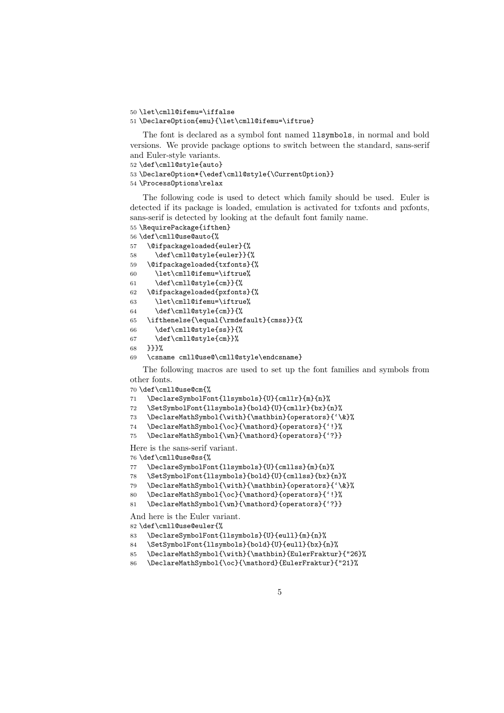```
50 \let\cmll@ifemu=\iffalse
```

```
51 \DeclareOption{emu}{\let\cmll@ifemu=\iftrue}
```
The font is declared as a symbol font named llsymbols, in normal and bold versions. We provide package options to switch between the standard, sans-serif and Euler-style variants.

```
52 \def\cmll@style{auto}
```

```
53 \DeclareOption*{\edef\cmll@style{\CurrentOption}}
```

```
54 \ProcessOptions\relax
```
The following code is used to detect which family should be used. Euler is detected if its package is loaded, emulation is activated for txfonts and pxfonts, sans-serif is detected by looking at the default font family name.

```
55 \RequirePackage{ifthen}
```

```
56 \def\cmll@use@auto{%
```

```
57 \@ifpackageloaded{euler}{%
58 \def\cmll@style{euler}}{%
59 \@ifpackageloaded{txfonts}{%
```

```
60 \let\cmll@ifemu=\iftrue%
```

```
61 \def\cmll@style{cm}}{%
```

```
62 \@ifpackageloaded{pxfonts}{%
```

```
63 \let\cmll@ifemu=\iftrue%
```

```
64 \def\cmll@style{cm}}{%
```

```
65 \ifthenelse{\equal{\rmdefault}{cmss}}{%
```

```
66 \def\cmll@style{ss}}{%
```

```
67 \def\cmll@style{cm}}%
68 }}}%
```

```
69 \csname cmll@use@\cmll@style\endcsname}
```
The following macros are used to set up the font families and symbols from other fonts.

```
70 \def\cmll@use@cm{%
```

```
71 \DeclareSymbolFont{llsymbols}{U}{cmllr}{m}{n}%
```

```
72 \SetSymbolFont{llsymbols}{bold}{U}{cmllr}{bx}{n}%
```
\DeclareMathSymbol{\with}{\mathbin}{operators}{'\&}%

```
74 \DeclareMathSymbol{\oc}{\mathord}{operators}{'!}%
```

```
75 \DeclareMathSymbol{\wn}{\mathord}{operators}{'?}}
```
Here is the sans-serif variant.

\def\cmll@use@ss{%

```
77 \DeclareSymbolFont{llsymbols}{U}{cmllss}{m}{n}%
```

```
78 \SetSymbolFont{llsymbols}{bold}{U}{cmllss}{bx}{n}%
```
\DeclareMathSymbol{\with}{\mathbin}{operators}{'\&}%

```
80 \DeclareMathSymbol{\oc}{\mathord}{operators}{'!}%
```

```
81 \DeclareMathSymbol{\wn}{\mathord}{operators}{'?}}
```

```
And here is the Euler variant.
```
\def\cmll@use@euler{%

- \DeclareSymbolFont{llsymbols}{U}{eull}{m}{n}%
- \SetSymbolFont{llsymbols}{bold}{U}{eull}{bx}{n}%
- \DeclareMathSymbol{\with}{\mathbin}{EulerFraktur}{"26}%
- \DeclareMathSymbol{\oc}{\mathord}{EulerFraktur}{"21}%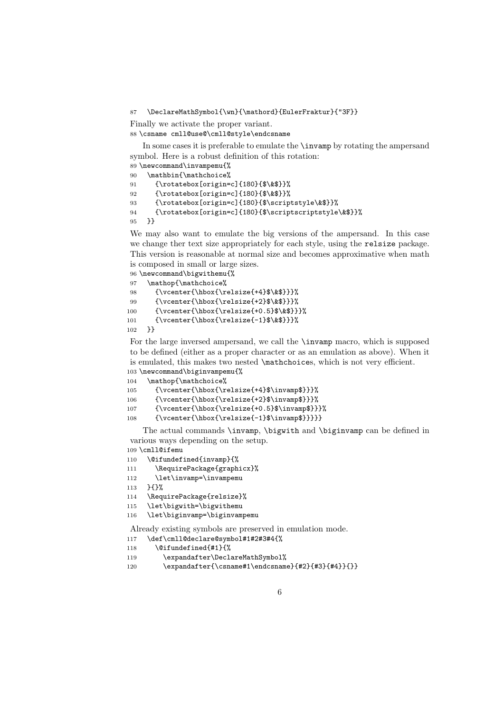87 \DeclareMathSymbol{\wn}{\mathord}{EulerFraktur}{"3F}}

Finally we activate the proper variant.

88 \csname cmll@use@\cmll@style\endcsname

In some cases it is preferable to emulate the \invamp by rotating the ampersand symbol. Here is a robust definition of this rotation:

```
89 \newcommand\invampemu{%
90 \mathbin{\mathchoice%
91 {\rotatebox[origin=c]{180}{$\&$}}%
92 {\rotatebox[origin=c]{180}{$\&$}}%
93 {\rotatebox[origin=c]{180}{$\scriptstyle\&$}}%
94 {\rotatebox[origin=c]{180}{$\scriptscriptstyle\&$}}%
95 }}
```
We may also want to emulate the big versions of the ampersand. In this case we change ther text size appropriately for each style, using the relsize package. This version is reasonable at normal size and becomes approximative when math is composed in small or large sizes.

```
96 \newcommand\bigwithemu{%
97 \mathop{\mathchoice%
98 {\vcenter{\hbox{\relsize{+4}$\&$}}}%
99 {\vcenter{\hbox{\relsize{+2}$\&$}}}%
100 {\vcenter{\hbox{\relsize{+0.5}$\&$}}}%
101 {\vcenter{\hbox{\relsize{-1}$\&$}}}%
102 }}
```
For the large inversed ampersand, we call the \invamp macro, which is supposed to be defined (either as a proper character or as an emulation as above). When it is emulated, this makes two nested \mathchoices, which is not very efficient. 103 \newcommand\biginvampemu{%

```
104 \mathop{\mathchoice%
105 {\vcenter{\hbox{\relsize{+4}$\invamp$}}}%
106 {\vcenter{\hbox{\relsize{+2}$\invamp$}}}%
107 {\vcenter{\hbox{\relsize{+0.5}$\invamp$}}}%
108 {\vcenter{\hbox{\relsize{-1}$\invamp$}}}}}
```
The actual commands \invamp, \bigwith and \biginvamp can be defined in various ways depending on the setup.

```
109 \cmll@ifemu
```

```
110 \@ifundefined{invamp}{%
```
- 111 \RequirePackage{graphicx}%
- 112 \let\invamp=\invampemu
- 113 }{}%

```
114 \RequirePackage{relsize}%
```

```
115 \let\bigwith=\bigwithemu
```

```
116 \let\biginvamp=\biginvampemu
```
Already existing symbols are preserved in emulation mode.

```
117 \def\cmll@declare@symbol#1#2#3#4{%
```
- 118 \@ifundefined{#1}{%
- 119 \expandafter\DeclareMathSymbol%
- 120 \expandafter{\csname#1\endcsname}{#2}{#3}{#4}}{}}